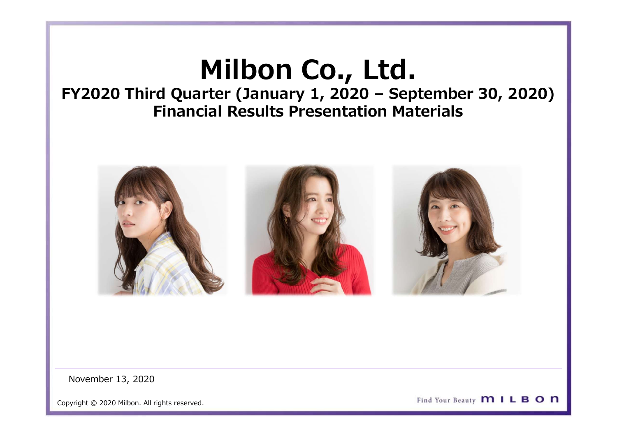**Milbon Co., Ltd.**<br>Inter (January 1, 2020 – September 30, 2020<br>Cial Results Presentation Materials Milbon Co., Ltd.<br>FY2020 Third Quarter (January 1, 2020 – September 30, 2020)<br>Financial Results Presentation Materials Financial Results Presentation Materials

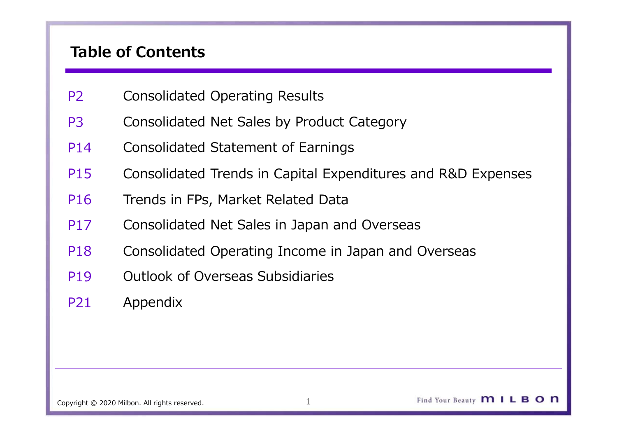# Table of Contents

- P2 Consolidated Operating Results
- P3 Consolidated Net Sales by Product Category
- P14 Consolidated Statement of Earnings
- P15 Consolidated Trends in Capital Expenditures and R&D Expenses
- P16 Trends in FPs, Market Related Data
- P17 Consolidated Net Sales in Japan and Overseas
- P18 Consolidated Operating Income in Japan and Overseas
- P19 Outlook of Overseas Subsidiaries
- P21 Appendix

Copyright © 2020 Milbon. All rights reserved. 1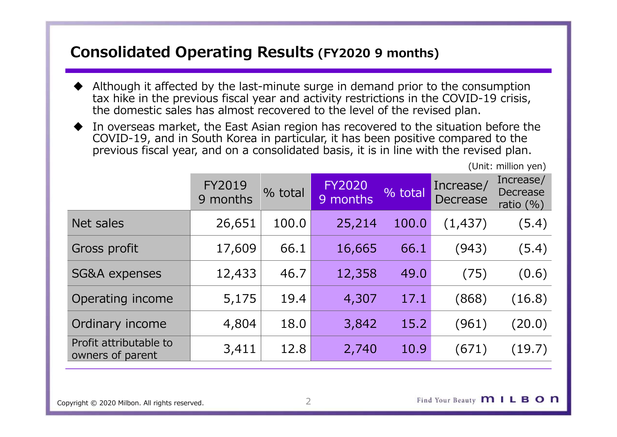- $\n \textbf{Consolidated Operating Results}$  (FY2020 9 months)<br>  $\textcolor{black}{\blacklozenge}$  Although it affected by the last-minute surge in demand prior to the consumption Although it affected by the last-minute surge in demand prior to the consumption tax hike in the previous fiscal year and activity restrictions in the COVID-19 crisis, the domestic sales has almost recovered to the level of the revised plan.
- In overseas market, the East Asian region has recovered to the situation before the COVID-19, and in South Korea in particular, it has been positive compared to the previous fiscal year, and on a consolidated basis, it is in line with the revised plan.

| <b>Consolidated Operating Results (FY2020 9 months)</b>                                                                                                                                                                                                                 |          |         |          |         |          |                                 |  |
|-------------------------------------------------------------------------------------------------------------------------------------------------------------------------------------------------------------------------------------------------------------------------|----------|---------|----------|---------|----------|---------------------------------|--|
| Although it affected by the last-minute surge in demand prior to the consumption<br>tax hike in the previous fiscal year and activity restrictions in the COVID-19 crisis,<br>the domestic sales has almost recovered to the level of the revised plan.                 |          |         |          |         |          |                                 |  |
| In overseas market, the East Asian region has recovered to the situation before the<br>◆<br>COVID-19, and in South Korea in particular, it has been positive compared to the<br>previous fiscal year, and on a consolidated basis, it is in line with the revised plan. |          |         |          |         |          |                                 |  |
| (Unit: million yen)<br>Increase/<br>Increase/<br><b>FY2019</b><br><b>FY2020</b>                                                                                                                                                                                         |          |         |          |         |          |                                 |  |
|                                                                                                                                                                                                                                                                         | 9 months | % total | 9 months | % total | Decrease | <b>Decrease</b><br>ratio $(\%)$ |  |
| Net sales                                                                                                                                                                                                                                                               | 26,651   | 100.0   | 25,214   | 100.0   | (1, 437) | (5.4)                           |  |
| Gross profit                                                                                                                                                                                                                                                            | 17,609   | 66.1    | 16,665   | 66.1    | (943)    | (5.4)                           |  |
| SG&A expenses                                                                                                                                                                                                                                                           | 12,433   | 46.7    | 12,358   | 49.0    | (75)     | (0.6)                           |  |
| Operating income                                                                                                                                                                                                                                                        | 5,175    | 19.4    | 4,307    | 17.1    | (868)    | (16.8)                          |  |
| Ordinary income                                                                                                                                                                                                                                                         | 4,804    | 18.0    | 3,842    | 15.2    | (961)    | (20.0)                          |  |
| Profit attributable to<br>owners of parent                                                                                                                                                                                                                              | 3,411    | 12.8    | 2,740    | 10.9    | (671)    | (19.7)                          |  |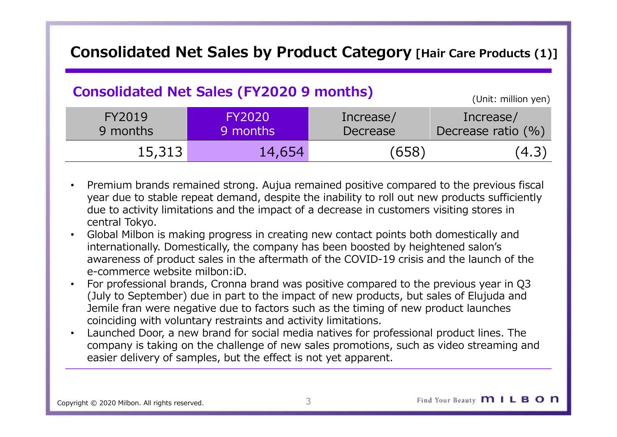# Consolidated Net Sales by Product Category [Hair Care Products (1)]<br>
Consolidated Net Sales (FY2020 9 months)

# Consolidated Net Sales (FY2020 9 months) (Unit: million yen)

|                                                  |                                                                                                                                                                                                                                                                                                                                                                                                                                                                                                                                                                                                                                                                                                                                                                                                                                                                                                                                                                                                         |                       | Consolidated Net Sales by Product Category [Hair Care Products (1)]                     |
|--------------------------------------------------|---------------------------------------------------------------------------------------------------------------------------------------------------------------------------------------------------------------------------------------------------------------------------------------------------------------------------------------------------------------------------------------------------------------------------------------------------------------------------------------------------------------------------------------------------------------------------------------------------------------------------------------------------------------------------------------------------------------------------------------------------------------------------------------------------------------------------------------------------------------------------------------------------------------------------------------------------------------------------------------------------------|-----------------------|-----------------------------------------------------------------------------------------|
|                                                  | <b>Consolidated Net Sales (FY2020 9 months)</b>                                                                                                                                                                                                                                                                                                                                                                                                                                                                                                                                                                                                                                                                                                                                                                                                                                                                                                                                                         |                       | (Unit: million yen)                                                                     |
| FY2019<br>9 months                               | <b>FY2020</b><br>9 months                                                                                                                                                                                                                                                                                                                                                                                                                                                                                                                                                                                                                                                                                                                                                                                                                                                                                                                                                                               | Increase/<br>Decrease | Increase/<br>Decrease ratio (%)                                                         |
| 15,313                                           | 14,654                                                                                                                                                                                                                                                                                                                                                                                                                                                                                                                                                                                                                                                                                                                                                                                                                                                                                                                                                                                                  | (658)                 | (4.3)                                                                                   |
| central Tokyo.<br>e-commerce website milbon: iD. | year due to stable repeat demand, despite the inability to roll out new products sufficiently<br>due to activity limitations and the impact of a decrease in customers visiting stores in<br>Global Milbon is making progress in creating new contact points both domestically and<br>internationally. Domestically, the company has been boosted by heightened salon's<br>awareness of product sales in the aftermath of the COVID-19 crisis and the launch of the<br>For professional brands, Cronna brand was positive compared to the previous year in Q3<br>(July to September) due in part to the impact of new products, but sales of Elujuda and<br>Jemile fran were negative due to factors such as the timing of new product launches<br>coinciding with voluntary restraints and activity limitations.<br>Launched Door, a new brand for social media natives for professional product lines. The<br>company is taking on the challenge of new sales promotions, such as video streaming and |                       | Premium brands remained strong. Aujua remained positive compared to the previous fiscal |

- year due to stable repeat demand, despite the inability to roll out new products sufficiently due to activity limitations and the impact of a decrease in customers visiting stores in central Tokyo.
- Global Milbon is making progress in creating new contact points both domestically and internationally. Domestically, the company has been boosted by heightened salon's awareness of product sales in the aftermath of the COVID-19 crisis and the launch of the e-commerce website milbon:iD.
- coinciding with voluntary restraints and activity limitations.
- Launched Door, a new brand for social media natives for professional product lines. The company is taking on the challenge of new sales promotions, such as video streaming and easier delivery of samples, but the effect is not yet apparent.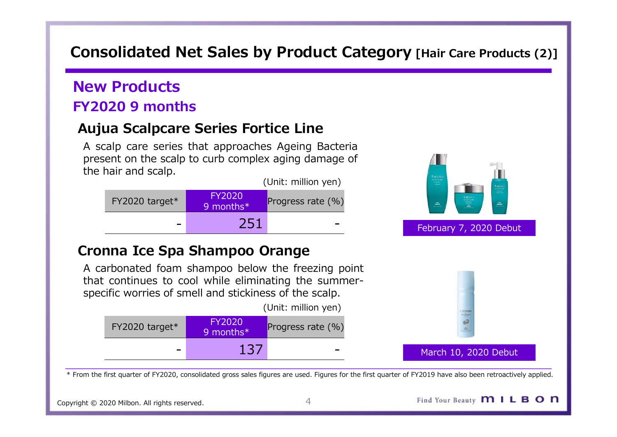# Consolidated Net Sales by Product Category [Hair Care Products (2)]<br>New Products

# New Products FY2020 9 months

Consolidated Net Sales by Product Category [Hair Care Products]<br>New Products<br>Triangle of months<br>Aujua Scalpcare Series Fortice Line<br>A scalp care series that approaches Ageing Bacteria<br>the hair and scalp to curb complex agi **ON Solidated Net Sales by Product Category** [Hair Care Products (2)]<br> **EW Products**<br> **A scalp care series that approaches Ageing Bacteria**<br> **Present on the scalp to curb complex aging damage of**<br>
the hair and scalp.<br>
(Uni present on the scalp care series that approaches Ageing Bacteria<br> **Products**<br> **Products**<br> **Present on the scalp to curb complex aging Bacteria**<br> **Products**<br> **Products**<br> **Products**<br> **Products**<br> **Products**<br> **Products**<br> **Prod DIMENTIFY CONCRETE:**<br> **THE HAMM SCALP CALCE SCALE ASSESS PORTLAND SCALP CALCE SCALA SCALP CARRY AND SCALP CARRY AND RESPONSIVED A SCALP CALCE AND FY2020 (Unit: million yen)<br>
FY2020 target\* The scalp.<br>
FY2020 target\* The p** 



(Unit: million yen)

| $FY2020$ target* | <b>FY2020</b><br>9 months* | Progress rate (%)        |       |
|------------------|----------------------------|--------------------------|-------|
| -                | 137                        | $\overline{\phantom{0}}$ | March |





### March 10, 2020 Debut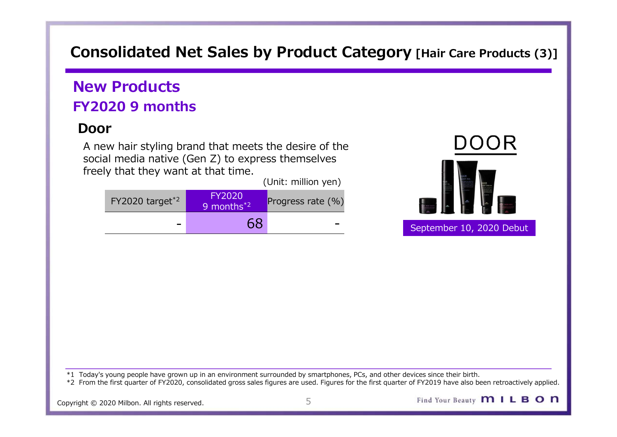# Consolidated Net Sales by Product Category [Hair Care Products (3)]<br>New Products

# New Products FY2020 9 months

# Door

A new hair styling brand that meets the desire of the social media native (Gen Z) to express themselves freely that they want at that time.

FY2020 target<sup>\*2</sup> Progress rate (%) (Unit: million yen)



\*1 Today's young people have grown up in an environment surrounded by smartphones, PCs, and other devices since their birth. \*2 From the first quarter of FY2020, consolidated gross sales figures are used. Figures for the first quarter of FY2019 have also been retroactively applied.

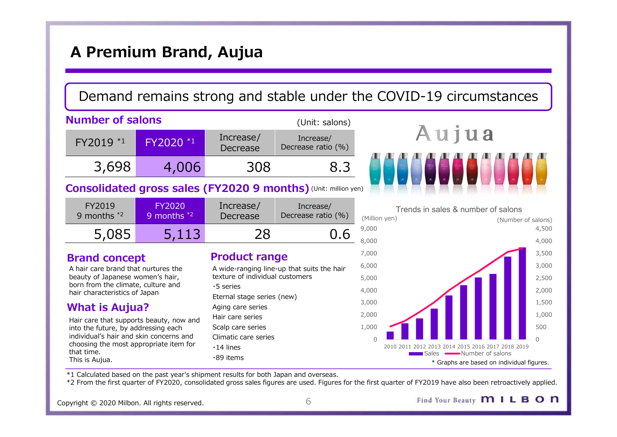# A Premium Brand, Aujua

# Demand remains strong and stable under the COVID-19 circumstances

| A Premium Brand, Aujua                                                                          |                                |                                                         |                                                                |                                                     |                         |  |  |  |
|-------------------------------------------------------------------------------------------------|--------------------------------|---------------------------------------------------------|----------------------------------------------------------------|-----------------------------------------------------|-------------------------|--|--|--|
| Demand remains strong and stable under the COVID-19 circumstances                               |                                |                                                         |                                                                |                                                     |                         |  |  |  |
| <b>Number of salons</b>                                                                         |                                |                                                         | (Unit: salons)                                                 |                                                     |                         |  |  |  |
| FY2019 *1                                                                                       | FY2020 *1                      | Increase/<br>Decrease                                   | Increase/<br>Decrease ratio (%)                                | Aujua                                               |                         |  |  |  |
| 3,698                                                                                           | 4,006                          | 308                                                     | 8.3                                                            |                                                     |                         |  |  |  |
|                                                                                                 |                                |                                                         | Consolidated gross sales (FY2020 9 months) (Unit: million yen) |                                                     |                         |  |  |  |
| FY2019<br>9 months $*2$                                                                         | <b>FY2020</b><br>9 months $*2$ | Increase/<br>Decrease                                   | Increase/<br>Decrease ratio (%)                                | Trends in sales & number of salons<br>(Million yen) | (Number of salons)      |  |  |  |
| 5,085                                                                                           | 5,113                          | 28                                                      | 0.6                                                            | 9,000<br>8,000                                      | 4,500<br>4,000          |  |  |  |
| <b>Brand concept</b><br>A hair care brand that nurtures the<br>beauty of Japanese women's hair. |                                | <b>Product range</b><br>texture of individual customers | A wide-ranging line-up that suits the hair                     | 7,000<br>6,000<br>5.000                             | 3,500<br>3,000<br>2.500 |  |  |  |

| FY2019<br>9 months $*2$ | <b>FY2020</b><br>9 months $*2$ | Increase/<br>Decrease | Increase/<br>Decrease ratio (%) | (Million yer |
|-------------------------|--------------------------------|-----------------------|---------------------------------|--------------|
| 5,085                   | 5,113                          |                       | 0.6                             | 9,000        |
|                         |                                |                       |                                 | R UUU        |

### Brand concept

A hair care brand that nurtures the beauty of Japanese women's hair, born from the climate, culture and hair characteristics of Japan

## What is Aujua?

Hair care that supports beauty, now and into the future, by addressing each individual's hair and skin concerns and choosing the most appropriate item for that time. This is Aujua.

## Product range and the state of  $^{7,000}$

A wide-ranging line-up that suits the hair  $6,000$ texture of individual customers ・5 series Eternal stage series (new) Aging care series Hair care series Scalp care series 1,000 Climatic care series ・14 lines ・89 items





\*1 Calculated based on the past year's shipment results for both Japan and overseas.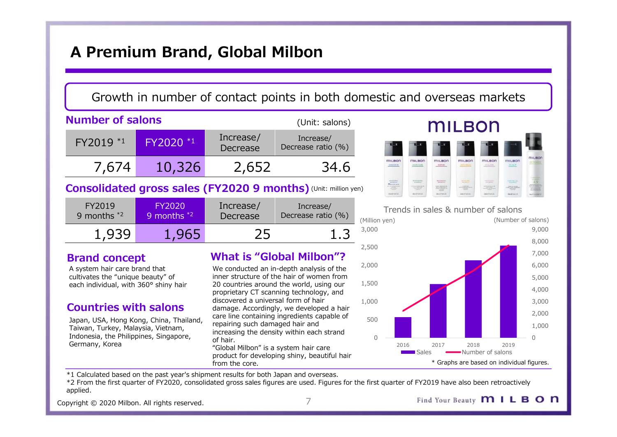# A Premium Brand, Global Milbon

## Growth in number of contact points in both domestic and overseas markets

|                                                                                                                                                                                                                |                                | A Premium Brand, Global Milbon                                         |                                                                                                                                                                                                                                                                                                            |                                         |                                 |                                                                                                                                                                                                                                                                                                                                                                                                                                                                                                                                                                                                                                                                                                                                                                                                                                                                                                        |                                       |               |
|----------------------------------------------------------------------------------------------------------------------------------------------------------------------------------------------------------------|--------------------------------|------------------------------------------------------------------------|------------------------------------------------------------------------------------------------------------------------------------------------------------------------------------------------------------------------------------------------------------------------------------------------------------|-----------------------------------------|---------------------------------|--------------------------------------------------------------------------------------------------------------------------------------------------------------------------------------------------------------------------------------------------------------------------------------------------------------------------------------------------------------------------------------------------------------------------------------------------------------------------------------------------------------------------------------------------------------------------------------------------------------------------------------------------------------------------------------------------------------------------------------------------------------------------------------------------------------------------------------------------------------------------------------------------------|---------------------------------------|---------------|
|                                                                                                                                                                                                                |                                |                                                                        | Growth in number of contact points in both domestic and overseas mar                                                                                                                                                                                                                                       |                                         |                                 |                                                                                                                                                                                                                                                                                                                                                                                                                                                                                                                                                                                                                                                                                                                                                                                                                                                                                                        |                                       |               |
| <b>Number of salons</b>                                                                                                                                                                                        |                                |                                                                        | (Unit: salons)                                                                                                                                                                                                                                                                                             |                                         |                                 |                                                                                                                                                                                                                                                                                                                                                                                                                                                                                                                                                                                                                                                                                                                                                                                                                                                                                                        | <b>MILBON</b>                         |               |
| FY2019 *1                                                                                                                                                                                                      | FY2020 *1                      | Increase/<br>Decrease                                                  | Increase/<br>Decrease ratio (%)                                                                                                                                                                                                                                                                            |                                         |                                 |                                                                                                                                                                                                                                                                                                                                                                                                                                                                                                                                                                                                                                                                                                                                                                                                                                                                                                        |                                       |               |
| 7,674                                                                                                                                                                                                          | 10,326                         | 2,652                                                                  | 34.6                                                                                                                                                                                                                                                                                                       |                                         | <b>MILBON</b><br>SMOOTH         | <b>MILBON</b><br>milBon<br>KEPAR<br>MOISTURE                                                                                                                                                                                                                                                                                                                                                                                                                                                                                                                                                                                                                                                                                                                                                                                                                                                           | <b>MILBON</b>                         | <b>MILBON</b> |
|                                                                                                                                                                                                                |                                |                                                                        | Consolidated gross sales (FY2020 9 months) (Unit: million yen)                                                                                                                                                                                                                                             |                                         | $M_{\rm CSP29~MHz}$<br>necentit | <b>BEFLENDER</b><br><b>REGIONATOS</b><br>$\begin{tabular}{c} \multicolumn{1}{c}{\textbf{1.00}}\\ \multicolumn{1}{c}{\textbf{1.00}}\\ \multicolumn{1}{c}{\textbf{1.00}}\\ \multicolumn{1}{c}{\textbf{1.00}}\\ \multicolumn{1}{c}{\textbf{1.00}}\\ \multicolumn{1}{c}{\textbf{1.00}}\\ \multicolumn{1}{c}{\textbf{1.00}}\\ \multicolumn{1}{c}{\textbf{1.00}}\\ \multicolumn{1}{c}{\textbf{1.00}}\\ \multicolumn{1}{c}{\textbf{1.00}}\\ \multicolumn{1}{c}{\textbf{1.00}}\\ \multic$<br>$\begin{array}{l} \begin{array}{c} \text{MSE} \left( \begin{smallmatrix} 0 & 0 \\ 0 & 0 \end{smallmatrix} \right) & \text{MSE} \left( \begin{smallmatrix} 0 & 0 \\ 0 & 0 \end{smallmatrix} \right) \\ \text{MSE} \left( \begin{smallmatrix} 0 & 0 \\ 0 & 0 \end{smallmatrix} \right) & \text{MSE} \left( \begin{smallmatrix} 0 & 0 \\ 0 & 0 \end{smallmatrix} \right) \end{array} \end{array}$<br>meens<br>meenni | <b>USTRACES</b><br>$-111.11$<br>жения | тесни         |
| FY2019<br>9 months $*2$                                                                                                                                                                                        | <b>FY2020</b><br>9 months $*2$ | Increase/<br>Decrease                                                  | Increase/<br>Decrease ratio (%)                                                                                                                                                                                                                                                                            | (Million yen)                           |                                 | Trends in sales & number of sa                                                                                                                                                                                                                                                                                                                                                                                                                                                                                                                                                                                                                                                                                                                                                                                                                                                                         |                                       | (Nu           |
| 1,939                                                                                                                                                                                                          | 1,965                          | 25                                                                     | 1.3                                                                                                                                                                                                                                                                                                        | 3,000                                   |                                 |                                                                                                                                                                                                                                                                                                                                                                                                                                                                                                                                                                                                                                                                                                                                                                                                                                                                                                        |                                       |               |
| <b>Brand concept</b><br>A system hair care brand that<br>cultivates the "unique beauty" of<br>each individual, with 360° shiny hair<br><b>Countries with salons</b><br>Japan, USA, Hong Kong, China, Thailand, |                                | discovered a universal form of hair<br>repairing such damaged hair and | <b>What is "Global Milbon"?</b><br>We conducted an in-depth analysis of the<br>inner structure of the hair of women from<br>20 countries around the world, using our<br>proprietary CT scanning technology, and<br>damage. Accordingly, we developed a hair<br>care line containing ingredients capable of | 2,500<br>2,000<br>1,500<br>1,000<br>500 |                                 |                                                                                                                                                                                                                                                                                                                                                                                                                                                                                                                                                                                                                                                                                                                                                                                                                                                                                                        |                                       |               |

### **Consolidated gross sales (FY2020 9 months)** (Unit: million yen)

| FY2019        | <b>FY2020</b> | Increase/ | Increase/          | Trends in sales & |
|---------------|---------------|-----------|--------------------|-------------------|
| 9 months $*2$ | 9 months $*2$ | Decrease  | Decrease ratio (%) | (Million yen)     |
| 1,939         | 1,965         |           |                    | 3,000             |

### Brand concept

## Countries with salons

Japan, USA, Hong Kong, China, Thailand, Taiwan, Turkey, Malaysia, Vietnam, Indonesia, the Philippines, Singapore, Germany, Korea

# What is "Global Milbon"?

We conducted an in-depth analysis of the inner structure of the hair of women from<br>20 countries around the world using our  $1.500$ 20 countries around the world, using our proprietary CT scanning technology, and discovered a universal form of hair 1,000 damage. Accordingly, we developed a hair care line containing ingredients capable of repairing such damaged hair and increasing the density within each strand of hair.

"Global Milbon" is a system hair care from the core.





\*1 Calculated based on the past year's shipment results for both Japan and overseas.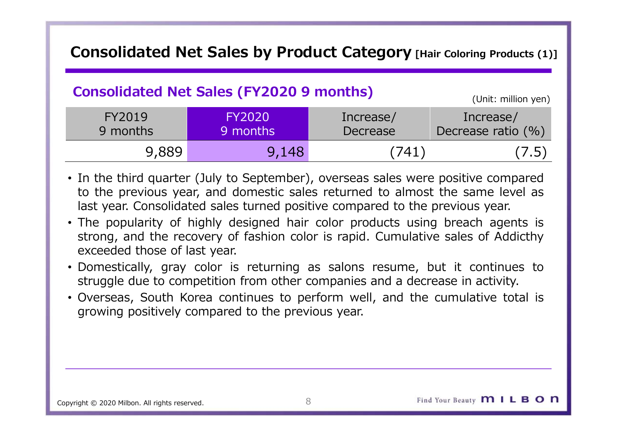# Consolidated Net Sales by Product Category [Hair Coloring Products (1)]<br>
Consolidated Net Sales (FY2020 9 months)

# Consolidated Net Sales (FY2020 9 months) (Unit: million yen)

|                              |                                                   | Consolidated Net Sales by Product Category [Hair Coloring Products (1)]                                                                                                                                                                                                                                                                                                                                                                                                                                                                                                                                                                                                     |                                 |
|------------------------------|---------------------------------------------------|-----------------------------------------------------------------------------------------------------------------------------------------------------------------------------------------------------------------------------------------------------------------------------------------------------------------------------------------------------------------------------------------------------------------------------------------------------------------------------------------------------------------------------------------------------------------------------------------------------------------------------------------------------------------------------|---------------------------------|
|                              | <b>Consolidated Net Sales (FY2020 9 months)</b>   |                                                                                                                                                                                                                                                                                                                                                                                                                                                                                                                                                                                                                                                                             | (Unit: million yen)             |
| FY2019<br>9 months           | <b>FY2020</b><br>9 months                         | Increase/<br>Decrease                                                                                                                                                                                                                                                                                                                                                                                                                                                                                                                                                                                                                                                       | Increase/<br>Decrease ratio (%) |
| 9,889                        | 9,148                                             | (741)                                                                                                                                                                                                                                                                                                                                                                                                                                                                                                                                                                                                                                                                       | (7.5)                           |
| exceeded those of last year. | growing positively compared to the previous year. | • In the third quarter (July to September), overseas sales were positive compared<br>to the previous year, and domestic sales returned to almost the same level as<br>last year. Consolidated sales turned positive compared to the previous year.<br>• The popularity of highly designed hair color products using breach agents is<br>strong, and the recovery of fashion color is rapid. Cumulative sales of Addicthy<br>• Domestically, gray color is returning as salons resume, but it continues to<br>struggle due to competition from other companies and a decrease in activity.<br>• Overseas, South Korea continues to perform well, and the cumulative total is |                                 |

- 
- 
- 
-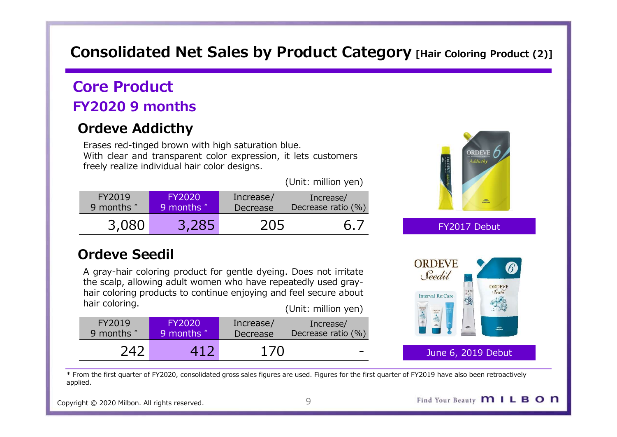# Consolidated Net Sales by Product Category [Hair Coloring Product (2)]<br>Core Product

# Core Product FY2020 9 months

# Ordeve Addicthy

**DISON CONSULTER SERVIES AND SERVIES AND SERVIES CONSULTER SERVIES PRODUCT**<br> **EXECUTE PRODUCT**<br> **Exases red-tinged brown with high saturation blue.**<br>
With clear and transparent color expression, it lets customers<br>
(Unit: **ONEX CONCRETE AN EXERCISE SOME CONCRETE AN EXERCISE AN EXERCISE AN EXERCISE AN EXERCISE AN EXERCISE AN EXPRES<br>
VERSE THE COLOR CONTROL EXPRESSION EXPRESS THE COLOR CONTROL EXPRESS THE COLOR CONTROL CONTROLLER COLOR CONTRO onsolidated Net Sales by Product Category** [Hair color<br> **ore Product**<br> **Product**<br> **Product**<br> **Product**<br> **Product**<br> **Product**<br> **Product**<br> **Product**<br> **Product**<br> **Product**<br> **Product**<br> **Product**<br> **Product**<br> **Product**<br> **Produc** 

|                                                                                                   |                                                                                                                                                                                                          |                              |                                                                                                                                                                       | Core Product                           |
|---------------------------------------------------------------------------------------------------|----------------------------------------------------------------------------------------------------------------------------------------------------------------------------------------------------------|------------------------------|-----------------------------------------------------------------------------------------------------------------------------------------------------------------------|----------------------------------------|
|                                                                                                   |                                                                                                                                                                                                          |                              |                                                                                                                                                                       | <b>FY2020 9 months</b>                 |
|                                                                                                   |                                                                                                                                                                                                          |                              |                                                                                                                                                                       | <b>Ordeve Addicthy</b>                 |
| <b>ORDEVE</b><br>Addicthy                                                                         |                                                                                                                                                                                                          |                              | Erases red-tinged brown with high saturation blue.<br>With clear and transparent color expression, it lets customers<br>freely realize individual hair color designs. |                                        |
|                                                                                                   | (Unit: million yen)                                                                                                                                                                                      |                              |                                                                                                                                                                       |                                        |
|                                                                                                   | Increase/<br>Decrease ratio (%)                                                                                                                                                                          | Increase/<br><b>Decrease</b> | <b>FY2020</b><br>9 months *                                                                                                                                           | FY2019<br>9 months *                   |
| FY2017 Debut                                                                                      | 6.7                                                                                                                                                                                                      | 205                          | 3,285                                                                                                                                                                 | 3,080                                  |
| <b>ORDEVE</b><br>$\boldsymbol{6}$<br>Seedil<br><b>ORDEVE</b><br>Seedil<br><b>Interval Re:Care</b> | A gray-hair coloring product for gentle dyeing. Does not irritate<br>the scalp, allowing adult women who have repeatedly used gray-<br>hair coloring products to continue enjoying and feel secure about |                              |                                                                                                                                                                       | <b>Ordeve Seedil</b><br>hair coloring. |
| 三、小小<br>雪鸟                                                                                        | (Unit: million yen)<br>Increase/<br>Decrease ratio (%)                                                                                                                                                   | Increase/<br>Decrease        | <b>FY2020</b><br>9 months *                                                                                                                                           | FY2019<br>9 months *                   |
| June 6, 2019 Debut                                                                                |                                                                                                                                                                                                          | 170                          | 412                                                                                                                                                                   | 242                                    |



| FY2019<br>9 months * | <b>FY2020</b><br>9 months * | Increase/<br>Decrease | Increase/<br>Decrease ratio (%) | $\rightarrow$ |
|----------------------|-----------------------------|-----------------------|---------------------------------|---------------|
| つムつ                  | 417                         | 170                   | $\overline{\phantom{0}}$        | June 6, 2     |

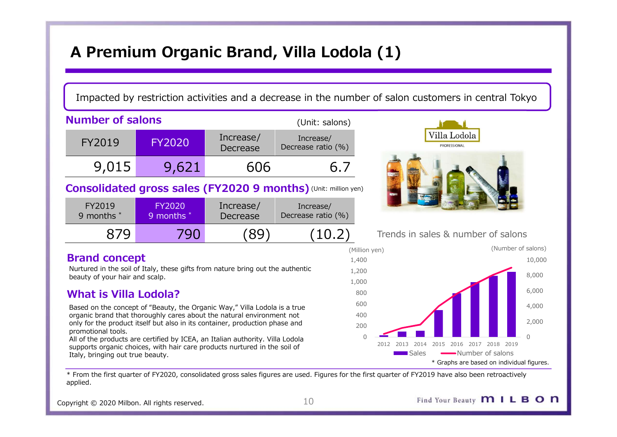# A Premium Organic Brand, Villa Lodola (1)

## Impacted by restriction activities and a decrease in the number of salon customers in central Tokyo

|                                                        |                                                                                                                                                                                                                                                                                                                    |                              | A Premium Organic Brand, Villa Lodola (1)                      |                                          |                                                                                                     |
|--------------------------------------------------------|--------------------------------------------------------------------------------------------------------------------------------------------------------------------------------------------------------------------------------------------------------------------------------------------------------------------|------------------------------|----------------------------------------------------------------|------------------------------------------|-----------------------------------------------------------------------------------------------------|
|                                                        |                                                                                                                                                                                                                                                                                                                    |                              |                                                                |                                          | Impacted by restriction activities and a decrease in the number of salon customers in central Tokyo |
| <b>Number of salons</b>                                |                                                                                                                                                                                                                                                                                                                    |                              | (Unit: salons)                                                 |                                          |                                                                                                     |
| FY2019                                                 | <b>FY2020</b>                                                                                                                                                                                                                                                                                                      | Increase/<br>Decrease        | Increase/<br>Decrease ratio (%)                                |                                          | Villa Lodola<br>PROFESSIONAL                                                                        |
| 9,015                                                  | 9,621                                                                                                                                                                                                                                                                                                              | 606                          | 6.7                                                            |                                          |                                                                                                     |
|                                                        |                                                                                                                                                                                                                                                                                                                    |                              | Consolidated gross sales (FY2020 9 months) (Unit: million yen) |                                          |                                                                                                     |
| FY2019<br>9 months *                                   | <b>FY2020</b><br>9 months *                                                                                                                                                                                                                                                                                        | Increase/<br><b>Decrease</b> | Increase/<br>Decrease ratio (%)                                |                                          |                                                                                                     |
| 879                                                    | 790                                                                                                                                                                                                                                                                                                                | (89                          | (10.2)                                                         |                                          | Trends in sales & number of salons                                                                  |
| <b>Brand concept</b><br>beauty of your hair and scalp. | Nurtured in the soil of Italy, these gifts from nature bring out the authentic                                                                                                                                                                                                                                     |                              |                                                                | (Million yen)<br>1,400<br>1,200<br>1,000 | (Number of salons)<br>10,000<br>8,000                                                               |
| <b>What is Villa Lodola?</b>                           |                                                                                                                                                                                                                                                                                                                    |                              |                                                                | 800                                      | 6,000                                                                                               |
| promotional tools.                                     | Based on the concept of "Beauty, the Organic Way," Villa Lodola is a true<br>organic brand that thoroughly cares about the natural environment not<br>only for the product itself but also in its container, production phase and<br>All of the products are certified by ICEA, an Italian authority. Villa Lodola |                              |                                                                | 600<br>400<br>200<br>$\Omega$            | 4,000<br>2,000<br>$\Omega$                                                                          |
|                                                        | supports organic choices, with hair care products nurtured in the soil of                                                                                                                                                                                                                                          |                              |                                                                |                                          | 2012 2013 2014 2015 2016 2017 2018 2019                                                             |

| FY2019     | FY2020     | Increase/           | Increase/          |                   |
|------------|------------|---------------------|--------------------|-------------------|
| 9 months * | 9 months * | Decrease            | Decrease ratio (%) |                   |
|            | 790        | $\lbrack 89\rbrack$ | (10.2)             | Trends in sales & |

### Brand concept

## What is Villa Lodola?

All of the products are certified by ICEA, an Italian authority. Villa Lodola 2012 2013 2014 2015 2016 2017 2018 2019 supports organic choices, with hair care products nurtured in the soil of Italy, bringing out true beauty.



## Trends in sales & number of salons

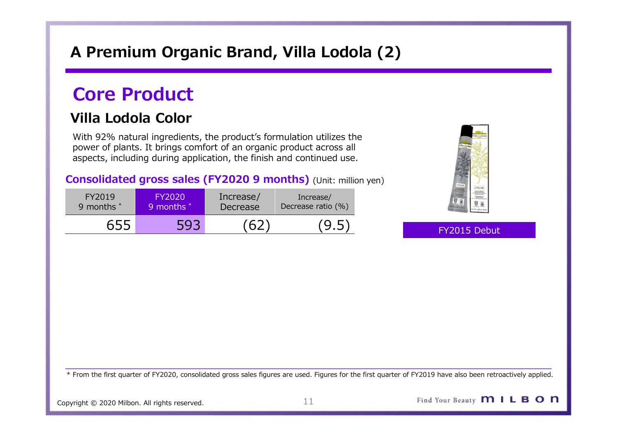# A Premium Organic Brand, Villa Lodola (2)

# Core Product

# Villa Lodola Color

|                      |                             |                       | A Premium Organic Brand, Villa Lodola (2)                                                                                                                                                                                                                                                    |              |
|----------------------|-----------------------------|-----------------------|----------------------------------------------------------------------------------------------------------------------------------------------------------------------------------------------------------------------------------------------------------------------------------------------|--------------|
| <b>Core Product</b>  |                             |                       |                                                                                                                                                                                                                                                                                              |              |
| Villa Lodola Color   |                             |                       | With 92% natural ingredients, the product's formulation utilizes the<br>power of plants. It brings comfort of an organic product across all<br>aspects, including during application, the finish and continued use.<br><b>Consolidated gross sales (FY2020 9 months)</b> (Unit: million yen) |              |
| FY2019<br>9 months * | <b>FY2020</b><br>9 months * | Increase/<br>Decrease | Increase/<br>Decrease ratio (%)                                                                                                                                                                                                                                                              |              |
| 655                  | 593                         | (62)                  | (9.5)                                                                                                                                                                                                                                                                                        | FY2015 Debut |
|                      |                             |                       |                                                                                                                                                                                                                                                                                              |              |



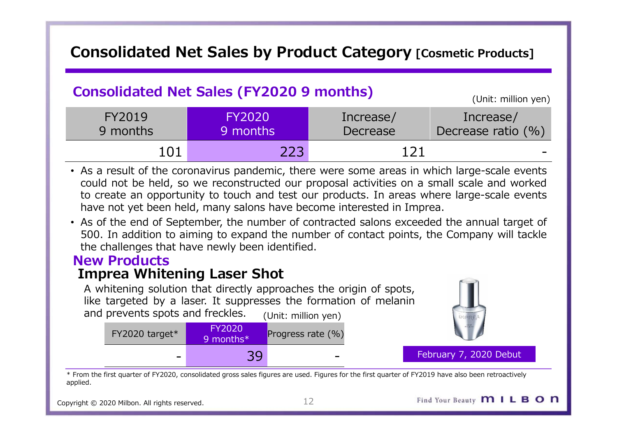# Consolidated Net Sales by Product Category [Cosmetic Products]

|                                                 | <b>Consolidated Net Sales by Product Category [Cosmetic Products]</b>                                                                                                                                                                                                                                                                                                                                                                                            |           |                     |
|-------------------------------------------------|------------------------------------------------------------------------------------------------------------------------------------------------------------------------------------------------------------------------------------------------------------------------------------------------------------------------------------------------------------------------------------------------------------------------------------------------------------------|-----------|---------------------|
|                                                 |                                                                                                                                                                                                                                                                                                                                                                                                                                                                  |           |                     |
| <b>Consolidated Net Sales (FY2020 9 months)</b> |                                                                                                                                                                                                                                                                                                                                                                                                                                                                  |           | (Unit: million yen) |
| <b>FY2019</b>                                   | <b>FY2020</b>                                                                                                                                                                                                                                                                                                                                                                                                                                                    | Increase/ | Increase/           |
| 9 months                                        | 9 months                                                                                                                                                                                                                                                                                                                                                                                                                                                         | Decrease  | Decrease ratio (%)  |
| 101                                             | 223                                                                                                                                                                                                                                                                                                                                                                                                                                                              | 121       |                     |
|                                                 | • As a result of the coronavirus pandemic, there were some areas in which large-scale events<br>could not be held, so we reconstructed our proposal activities on a small scale and worked<br>to create an opportunity to touch and test our products. In areas where large-scale events<br>have not yet been held, many salons have become interested in Imprea.<br>• As of the end of September, the number of contracted salons exceeded the annual target of |           |                     |
|                                                 | 500. In addition to aiming to expand the number of contact points, the Company will tackle<br>the challenges that have newly been identified.                                                                                                                                                                                                                                                                                                                    |           |                     |
| <b>New Products</b>                             |                                                                                                                                                                                                                                                                                                                                                                                                                                                                  |           |                     |
| <b>Imprea Whitening Laser Shot</b>              |                                                                                                                                                                                                                                                                                                                                                                                                                                                                  |           |                     |
| and prevents spots and freckles.                | A whitening solution that directly approaches the origin of spots,<br>like targeted by a laser. It suppresses the formation of melanin<br>(Unit: million yen)                                                                                                                                                                                                                                                                                                    |           |                     |
| FY2020 target*                                  | <b>FY2020</b><br>Progress rate (%)<br>9 months*                                                                                                                                                                                                                                                                                                                                                                                                                  |           |                     |

- FIZULE 19 Includes and the correct of the correct of the correct of the correct of the coronavirus pandemic, there were some areas in which could not be held, so we reconstructed our proposal activities on a smile of occu - 39<br>
So we reconstructed our proposal activities on a small scale events<br>
so we reconstructed our proposal activities on a small scale and worked<br>
tunity to touch and test our products. In areas where large-scale events<br>
- 

# New Products

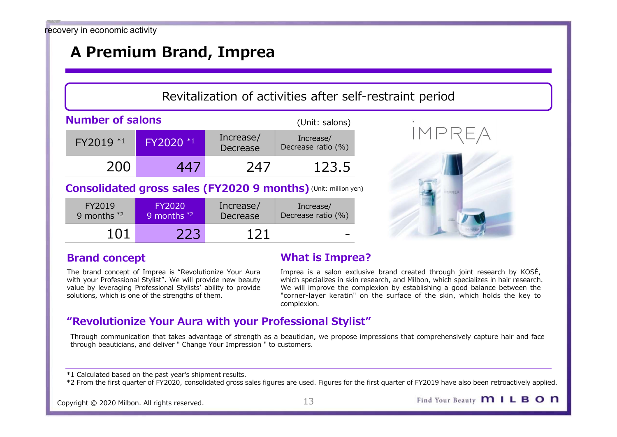# A Premium Brand, Imprea

# Revitalization of activities after self-restraint period

| very in economic activity |                                                                                                                                                                                                                                              |                       |                                                                |                                                                                                                                                                                                                                                                                                                            |
|---------------------------|----------------------------------------------------------------------------------------------------------------------------------------------------------------------------------------------------------------------------------------------|-----------------------|----------------------------------------------------------------|----------------------------------------------------------------------------------------------------------------------------------------------------------------------------------------------------------------------------------------------------------------------------------------------------------------------------|
|                           | A Premium Brand, Imprea                                                                                                                                                                                                                      |                       |                                                                |                                                                                                                                                                                                                                                                                                                            |
|                           |                                                                                                                                                                                                                                              |                       |                                                                |                                                                                                                                                                                                                                                                                                                            |
|                           |                                                                                                                                                                                                                                              |                       |                                                                | Revitalization of activities after self-restraint period                                                                                                                                                                                                                                                                   |
| <b>Number of salons</b>   |                                                                                                                                                                                                                                              |                       | (Unit: salons)                                                 |                                                                                                                                                                                                                                                                                                                            |
| FY2019 *1                 | FY2020 *1                                                                                                                                                                                                                                    | Increase/<br>Decrease | Increase/<br>Decrease ratio (%)                                | IMPREA                                                                                                                                                                                                                                                                                                                     |
| 200                       | 447                                                                                                                                                                                                                                          | 247                   | 123.5                                                          |                                                                                                                                                                                                                                                                                                                            |
|                           |                                                                                                                                                                                                                                              |                       | Consolidated gross sales (FY2020 9 months) (Unit: million yen) |                                                                                                                                                                                                                                                                                                                            |
| FY2019<br>9 months $*2$   | <b>FY2020</b><br>9 months $*2$                                                                                                                                                                                                               | Increase/<br>Decrease | Increase/<br>Decrease ratio (%)                                |                                                                                                                                                                                                                                                                                                                            |
| 101                       | 223                                                                                                                                                                                                                                          | 121                   |                                                                |                                                                                                                                                                                                                                                                                                                            |
| <b>Brand concept</b>      |                                                                                                                                                                                                                                              |                       | <b>What is Imprea?</b>                                         |                                                                                                                                                                                                                                                                                                                            |
|                           | The brand concept of Imprea is "Revolutionize Your Aura<br>with your Professional Stylist". We will provide new beauty<br>value by leveraging Professional Stylists' ability to provide<br>solutions, which is one of the strengths of them. |                       | complexion.                                                    | Imprea is a salon exclusive brand created through joint research by KOSÉ,<br>which specializes in skin research, and Milbon, which specializes in hair research.<br>We will improve the complexion by establishing a good balance between the<br>"corner-layer keratin" on the surface of the skin, which holds the key to |
|                           |                                                                                                                                                                                                                                              |                       | "Revolutionize Your Aura with your Professional Stylist"       |                                                                                                                                                                                                                                                                                                                            |
|                           |                                                                                                                                                                                                                                              |                       |                                                                | Through communication that takes advantage of strength as a heautician we propose impressions that comprehensively canture hair and face                                                                                                                                                                                   |

| $FY2019$ $*1$                                                                                                                                                                                                                                | FY2020 *1                                                                 | THE CASE<br>Decrease  | IIILI CASC/<br>Decrease ratio (%)                              |                                                                                                                                                                                                                                                                                                                            |
|----------------------------------------------------------------------------------------------------------------------------------------------------------------------------------------------------------------------------------------------|---------------------------------------------------------------------------|-----------------------|----------------------------------------------------------------|----------------------------------------------------------------------------------------------------------------------------------------------------------------------------------------------------------------------------------------------------------------------------------------------------------------------------|
| 200                                                                                                                                                                                                                                          | 447                                                                       | 247                   | 123.5                                                          |                                                                                                                                                                                                                                                                                                                            |
|                                                                                                                                                                                                                                              |                                                                           |                       | Consolidated gross sales (FY2020 9 months) (Unit: million yen) |                                                                                                                                                                                                                                                                                                                            |
| FY2019<br>9 months $*2$                                                                                                                                                                                                                      | <b>FY2020</b><br>9 months $*2$                                            | Increase/<br>Decrease | Increase/<br>Decrease ratio (%)                                |                                                                                                                                                                                                                                                                                                                            |
| 101                                                                                                                                                                                                                                          | 223                                                                       | 121                   |                                                                |                                                                                                                                                                                                                                                                                                                            |
| <b>Brand concept</b>                                                                                                                                                                                                                         |                                                                           |                       | <b>What is Imprea?</b>                                         |                                                                                                                                                                                                                                                                                                                            |
| The brand concept of Imprea is "Revolutionize Your Aura<br>with your Professional Stylist". We will provide new beauty<br>value by leveraging Professional Stylists' ability to provide<br>solutions, which is one of the strengths of them. |                                                                           |                       | complexion.                                                    | Imprea is a salon exclusive brand created through joint research by KOSÉ,<br>which specializes in skin research, and Milbon, which specializes in hair research.<br>We will improve the complexion by establishing a good balance between the<br>"corner-layer keratin" on the surface of the skin, which holds the key to |
|                                                                                                                                                                                                                                              |                                                                           |                       | "Revolutionize Your Aura with your Professional Stylist"       |                                                                                                                                                                                                                                                                                                                            |
|                                                                                                                                                                                                                                              | through beauticians, and deliver " Change Your Impression " to customers. |                       |                                                                | Through communication that takes advantage of strength as a beautician, we propose impressions that comprehensively capture hair and face                                                                                                                                                                                  |
| *1 Calculated based on the past year's shipment results.                                                                                                                                                                                     |                                                                           |                       |                                                                | *2 From the first quarter of FY2020, consolidated gross sales figures are used. Figures for the first quarter of FY2019 have also been retroactively applied.                                                                                                                                                              |





### Brand concept

## What is Imprea?

## "Revolutionize Your Aura with your Professional Stylist"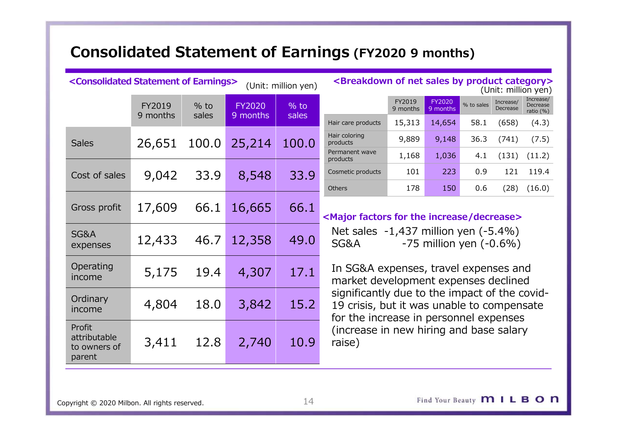# Consolidated Statement of Earnings (FY2020 9 months)<br>
Consolidated Statement of Earnings> (Unit: million yen) <Breakdown of net sales by product category><br>
(Unit: million yen) <Breakdown of net sales by product category><br>

|                                                              |                    |                 |                           |                     | <b>Consolidated Statement of Earnings (FY2020 9 months)</b>                                                                               |                              |                              |                    |                                |  |
|--------------------------------------------------------------|--------------------|-----------------|---------------------------|---------------------|-------------------------------------------------------------------------------------------------------------------------------------------|------------------------------|------------------------------|--------------------|--------------------------------|--|
| <consolidated earnings="" of="" statement=""></consolidated> |                    |                 |                           | (Unit: million yen) | <breakdown by="" categ<="" net="" of="" product="" sales="" th=""><th></th><th></th><th></th><th>(Unit: millior</th><th></th></breakdown> |                              |                              |                    | (Unit: millior                 |  |
|                                                              | FY2019<br>9 months | $%$ to<br>sales | <b>FY2020</b><br>9 months | $%$ to<br>sales     | Hair care products                                                                                                                        | FY2019<br>9 months<br>15,313 | FY2020<br>9 months<br>14,654 | % to sales<br>58.1 | Increase/<br>Decrease<br>(658) |  |
| <b>Sales</b>                                                 | 26,651             | 100.0           | 25,214                    | 100.0               | Hair coloring<br>products<br>Permanent wave                                                                                               | 9,889                        | 9,148                        | 36.3               | (741)                          |  |
| Cost of sales                                                | 9,042              | 33.9            | 8,548                     | 33.9                | products<br>Cosmetic products                                                                                                             | 1,168<br>101                 | 1,036<br>223                 | 4.1<br>0.9         | (131)<br>121                   |  |
| Gross profit                                                 | 17,609             | 66.1            | 16,665                    | 66.1                | <b>Others</b><br><major decrease="" factors="" for="" increase="" the=""></major>                                                         | 178                          | 150                          | 0.6                | (28)                           |  |
| SG&A<br>expenses                                             | 12,433             | 46.7            | 12,358                    | 49.0                | Net sales $-1,437$ million yen $(-5.4\%)$<br><b>SG&amp;A</b>                                                                              |                              | $-75$ million yen $(-0.6%)$  |                    |                                |  |
| Operating<br>income                                          | 5,175              | 19.4            | 4,307                     | 17.1                | In SG&A expenses, travel expenses and<br>market development expenses declined                                                             |                              |                              |                    |                                |  |
| Ordinary<br>income                                           | 4,804              | 18.0            | 3,842                     | 15.2                | significantly due to the impact of the co<br>19 crisis, but it was unable to compensa<br>for the increase in personnel expenses           |                              |                              |                    |                                |  |
| Profit<br>attributable<br>to owners of<br>parent             | 3,411              | 12.8            | 2,740                     | 10.9                | (increase in new hiring and base salary<br>raise)                                                                                         |                              |                              |                    |                                |  |
|                                                              |                    |                 |                           |                     |                                                                                                                                           |                              |                              |                    |                                |  |

|                            | FY2019 | FY2020   |                                           | Increase/                                       | Increase/<br>Decrease                                                                                                                                                                |
|----------------------------|--------|----------|-------------------------------------------|-------------------------------------------------|--------------------------------------------------------------------------------------------------------------------------------------------------------------------------------------|
| Hair care products         | 15,313 | 14,654   | 58.1                                      | (658)                                           | ratio $(\% )$<br>(4.3)                                                                                                                                                               |
| Hair coloring<br>products  | 9,889  | 9,148    | 36.3                                      | (741)                                           | (7.5)                                                                                                                                                                                |
| Permanent wave<br>products | 1,168  | 1,036    | 4.1                                       | (131)                                           | (11.2)                                                                                                                                                                               |
| Cosmetic products          | 101    | 223      | 0.9                                       | 121                                             | 119.4                                                                                                                                                                                |
| <b>Others</b>              | 178    | 150      | 0.6                                       | (28)                                            | (16.0)                                                                                                                                                                               |
|                            |        |          |                                           |                                                 |                                                                                                                                                                                      |
|                            |        |          | Net sales $-1,437$ million yen $(-5.4\%)$ |                                                 |                                                                                                                                                                                      |
|                            |        | 9 months | 9 months                                  | <b>Earnings (FY2020 9 months)</b><br>% to sales | <breakdown by="" category="" net="" of="" product="" sales=""><br/>(Unit: million yen)<br/>Decrease<br/><major decrease="" factors="" for="" increase="" the=""></major></breakdown> |

In SG&A expenses, travel expenses and market development expenses declined significantly due to the impact of the covid-19 crisis, but it was unable to compensate for the increase in personnel expenses (increase in new hiring and base salary raise)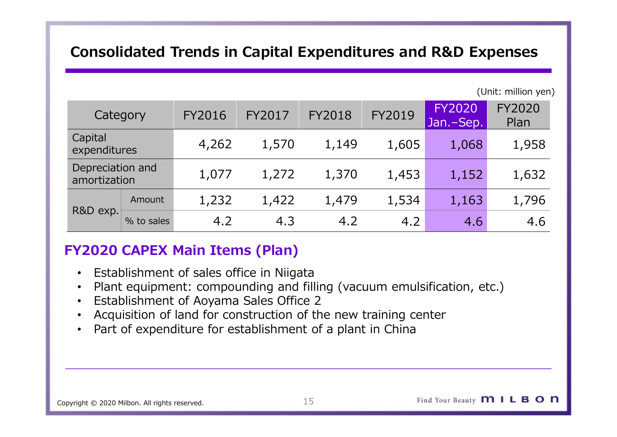# Consolidated Trends in Capital Expenditures and R&D Expenses

|                                  |        |               |        |               |        | <b>Consolidated Trends in Capital Expenditures and R&amp;D Expenses</b> |                       |
|----------------------------------|--------|---------------|--------|---------------|--------|-------------------------------------------------------------------------|-----------------------|
|                                  |        |               |        |               |        |                                                                         | (Unit: million yen)   |
| Category                         |        | <b>FY2016</b> | FY2017 | <b>FY2018</b> | FY2019 | <b>FY2020</b><br>Jan.-Sep.                                              | <b>FY2020</b><br>Plan |
| Capital<br>expenditures          |        | 4,262         | 1,570  | 1,149         | 1,605  | 1,068                                                                   | 1,958                 |
| Depreciation and<br>amortization |        | 1,077         | 1,272  | 1,370         | 1,453  | 1,152                                                                   | 1,632                 |
| R&D exp.                         | Amount | 1,232         | 1,422  | 1,479         | 1,534  | 1,163                                                                   | 1,796                 |
|                                  |        | 4.2           | 4.3    | 4.2           | 4.2    | 4.6                                                                     | 4.6                   |

# FY2020 CAPEX Main Items (Plan)

- 
- Plant equipment: compounding and filling (vacuum emulsification, etc.)
- Establishment of Aoyama Sales Office 2
- Acquisition of land for construction of the new training center
-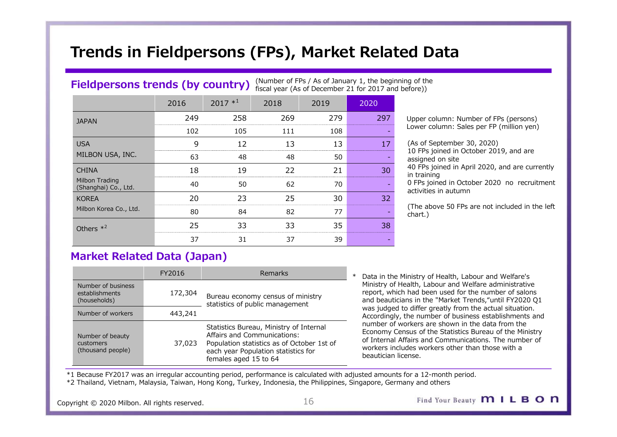# Trends in Fieldpersons (FPs), Market Related Data

### Fieldpersons trends (by country) (Number of FPs / As of January 1, the beginning of the fiscal year (As of December 21 for 2017 and before))

|                                                      |                                         |                                                                      |         |                                                        |        | Trends in Fieldpersons (FPs), Market Related Data                                                                                                                       |
|------------------------------------------------------|-----------------------------------------|----------------------------------------------------------------------|---------|--------------------------------------------------------|--------|-------------------------------------------------------------------------------------------------------------------------------------------------------------------------|
|                                                      |                                         |                                                                      |         |                                                        |        |                                                                                                                                                                         |
|                                                      |                                         |                                                                      |         | (Number of FPs / As of January 1, the beginning of the |        |                                                                                                                                                                         |
|                                                      | <b>Fieldpersons trends (by country)</b> |                                                                      |         | fiscal year (As of December 21 for 2017 and before))   |        |                                                                                                                                                                         |
|                                                      | 2016                                    | $2017 *1$                                                            | 2018    | 2019                                                   | 2020   |                                                                                                                                                                         |
| <b>JAPAN</b>                                         | 249                                     | 258                                                                  | 269     | 279                                                    | 297    | Upper column: Number of FPs (persons)                                                                                                                                   |
|                                                      | 102                                     | 105                                                                  | 111     | 108                                                    |        | Lower column: Sales per FP (million yen)                                                                                                                                |
|                                                      | 9                                       | 12                                                                   | 13      | 13                                                     | 17     | (As of September 30, 2020)<br>10 FPs joined in October 2019, and are                                                                                                    |
| MILBON USA, INC.                                     | 63                                      | 48                                                                   | 48      | 50                                                     |        | assigned on site                                                                                                                                                        |
|                                                      | 18                                      | 19                                                                   | 22      | 21                                                     | 30     | 40 FPs joined in April 2020, and are currently<br>in training                                                                                                           |
| Milbon Trading<br>(Shanghai) Co., Ltd.               | 40                                      | 50                                                                   | 62      | 70                                                     |        | 0 FPs joined in October 2020 no recruitment<br>activities in autumn                                                                                                     |
| <b>KOREA</b>                                         | 20                                      | 23                                                                   | 25      | 30                                                     | 32     |                                                                                                                                                                         |
| Milbon Korea Co., Ltd.                               | 80                                      | 84                                                                   | 82      | 77                                                     |        | (The above 50 FPs are not included in the left)<br>chart.)                                                                                                              |
| Others $*^2$                                         | 25                                      | 33                                                                   | 33      | 35                                                     | 38     |                                                                                                                                                                         |
|                                                      | 37                                      | 31                                                                   | 37      | 39                                                     |        |                                                                                                                                                                         |
|                                                      | <b>Market Related Data (Japan)</b>      |                                                                      |         |                                                        |        |                                                                                                                                                                         |
|                                                      | FY2016                                  |                                                                      | Remarks |                                                        | $\ast$ | Data in the Ministry of Health, Labour and Welfare's                                                                                                                    |
| Number of business<br>establishments<br>(households) | 172,304                                 | Bureau economy census of ministry<br>statistics of public management |         |                                                        |        | Ministry of Health, Labour and Welfare administrative<br>report, which had been used for the number of salons<br>and beauticians in the "Market Trends,"until FY2020 Q1 |
| Number of workers                                    | 443 741                                 |                                                                      |         |                                                        |        | was judged to differ greatly from the actual situation.                                                                                                                 |

(As of September 30, 2020) 10 FPs joined in October 2019, and are assigned on site **d Data**<br>
g of the<br>
fore))<br>
Upper column: Number of FPs (persons)<br>
Lower column: Sales per FP (million yen)<br>
(As of September 30, 2020)<br>
10 FPs joined in October 2019, and are<br>
assigned on site<br>
in training<br>
in training<br>
0

|                                                      | FY2016  | <b>Remarks</b>                                                                                                                                                                       | Data in the Ministry                                                                                         |
|------------------------------------------------------|---------|--------------------------------------------------------------------------------------------------------------------------------------------------------------------------------------|--------------------------------------------------------------------------------------------------------------|
| Number of business<br>establishments<br>(households) | 172,304 | Bureau economy census of ministry<br>statistics of public management                                                                                                                 | Ministry of Health,<br>report, which had b<br>and beauticians in t                                           |
| Number of workers                                    | 443,241 |                                                                                                                                                                                      | was judged to diffe<br>Accordingly, the nu                                                                   |
| Number of beauty<br>customers<br>(thousand people)   | 37,023  | Statistics Bureau, Ministry of Internal<br>Affairs and Communications:<br>Population statistics as of October 1st of<br>each year Population statistics for<br>females aged 15 to 64 | number of workers<br>Economy Census of<br>of Internal Affairs a<br>workers includes w<br>beautician license. |

statistics of public management<br>was judged to differ greatly from the actual situation. workers includes workers other than those with a y 1, the beginning of the<br>
for 2017 and before)<br>
2020<br>
2020<br>
2020<br>
2020<br>
2020<br>
2020<br>
2020<br>
2020<br>
2020<br>
2020<br>
2020<br>
10 FPs joined in October 2019, and are<br>
30<br>
40 FPs joined in October 2019, and are currently<br>
40 FPs joine Ministry of Health, Labour and Welfare administrative report, which had been used for the number of salons and beauticians in the "Market Trends,"until FY2020 Q1 Accordingly, the number of business establishments and number of workers are shown in the data from the Lower column: Sales per PP (million yen)<br>
17 (1.6 of September 30, 2020)<br>
10 (1.6 PS joined in October 2019, and are<br>
18 assigned on site<br>
18 and PFs joined in April 2020, and are currently<br>
in training<br>
10 FPs joined in O Economy Census of the Statistics Bureau of the Ministry of Internal Affairs and Communications. The number of in the spin on include than the matter of the spin of the profession of the response of the than than than the properties in attunn<br>
30 The properties in a turn of the left chat.)<br>
31 The above 50 FPs are not included in t beautician license.

\*1 Because FY2017 was an irregular accounting period, performance is calculated with adjusted amounts for a 12-month period.

\*2 Thailand, Vietnam, Malaysia, Taiwan, Hong Kong, Turkey, Indonesia, the Philippines, Singapore, Germany and others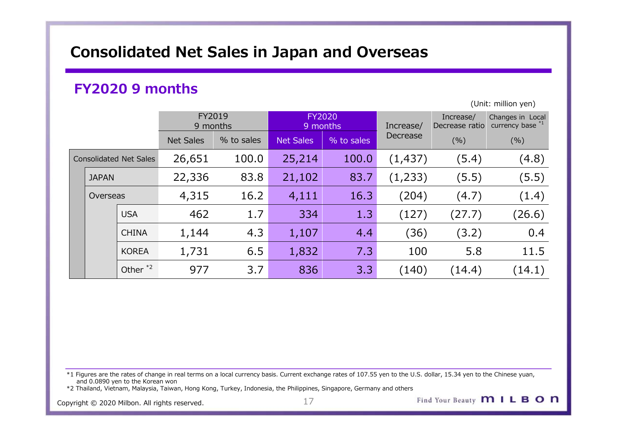# Consolidated Net Sales in Japan and Overseas

# FY2020 9 months

|                               |                        |                  |            |                  | <b>Consolidated Net Sales in Japan and Overseas</b> |           |           |                                         |
|-------------------------------|------------------------|------------------|------------|------------------|-----------------------------------------------------|-----------|-----------|-----------------------------------------|
|                               | <b>FY2020 9 months</b> |                  |            |                  |                                                     |           |           |                                         |
|                               |                        | FY2019           |            |                  | <b>FY2020</b>                                       |           | Increase/ | (Unit: million yen)<br>Changes in Local |
|                               |                        | 9 months         |            |                  | 9 months                                            | Increase/ |           | Decrease ratio currency base *1         |
|                               |                        | <b>Net Sales</b> | % to sales | <b>Net Sales</b> | $%$ to sales                                        | Decrease  | (%)       | (% )                                    |
| <b>Consolidated Net Sales</b> |                        | 26,651           | 100.0      | 25,214           | 100.0                                               | (1, 437)  | (5.4)     | (4.8)                                   |
| <b>JAPAN</b>                  |                        | 22,336           | 83.8       | 21,102           | 83.7                                                | (1,233)   | (5.5)     | (5.5)                                   |
| Overseas                      |                        | 4,315            | 16.2       | 4,111            | 16.3                                                | (204)     | (4.7)     | (1.4)                                   |
|                               | <b>USA</b>             | 462              | 1.7        | 334              | 1.3                                                 | (127)     | (27.7)    | (26.6)                                  |
|                               | <b>CHINA</b>           | 1,144            | 4.3        | 1,107            | 4.4                                                 | (36)      | (3.2)     | 0.4                                     |
|                               | KOREA                  | 1,731            | 6.5        | 1,832            | 7.3                                                 | 100       | 5.8       | $11.5$                                  |
|                               | Other $*2$             | 977              | 3.7        | 836              | 3.3                                                 | (140)     | (14.4)    | (14.1)                                  |

 $*1$  Figures are the rates of change in real terms on a local currency basis. Current exchange rates of 107.55 yen to the U.S. dollar, 15.34 yen to the Chinese yuan, and 0.0890 yen to the Korean won

\*2 Thailand, Vietnam, Malaysia, Taiwan, Hong Kong, Turkey, Indonesia, the Philippines, Singapore, Germany and others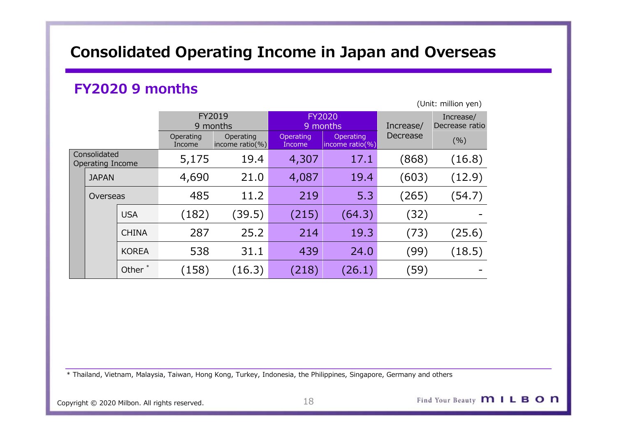# Consolidated Operating Income in Japan and Overseas

# FY2020 9 months

|                                  |                                                                                                                    |                        | <b>Consolidated Operating Income in Japan and Overseas</b> |                     |                              |          |        |  |  |
|----------------------------------|--------------------------------------------------------------------------------------------------------------------|------------------------|------------------------------------------------------------|---------------------|------------------------------|----------|--------|--|--|
|                                  |                                                                                                                    | <b>FY2020 9 months</b> |                                                            |                     |                              |          |        |  |  |
|                                  | (Unit: million yen)<br>FY2019<br><b>FY2020</b><br>Increase/<br>9 months<br>Increase/<br>Decrease ratio<br>9 months |                        |                                                            |                     |                              |          |        |  |  |
|                                  |                                                                                                                    | Operating<br>Income    | Operating<br>income ratio(%)                               | Operating<br>Income | Operating<br>income ratio(%) | Decrease | (% )   |  |  |
| Consolidated<br>Operating Income |                                                                                                                    | 5,175                  | 19.4                                                       | 4,307               | 17.1                         | (868)    | (16.8) |  |  |
| <b>JAPAN</b>                     |                                                                                                                    | 4,690                  | 21.0                                                       | 4,087               | 19.4                         | (603)    | (12.9) |  |  |
| Overseas                         |                                                                                                                    | 485                    | 11.2                                                       | 219                 | 5.3                          | (265)    | (54.7) |  |  |
|                                  | <b>USA</b>                                                                                                         | (182)                  | (39.5)                                                     | (215)               | (64.3)                       | (32)     |        |  |  |
|                                  | <b>CHINA</b>                                                                                                       | 287                    | 25.2                                                       | 214                 | 19.3                         | (73)     | (25.6) |  |  |
|                                  | <b>KOREA</b>                                                                                                       | 538                    | 31.1                                                       | 439                 | 24.0                         | (99)     | (18.5) |  |  |
|                                  | Other <sup>*</sup>                                                                                                 | (158)                  | (16.3)                                                     | (218)               | (26.1)                       | (59)     |        |  |  |

\* Thailand, Vietnam, Malaysia, Taiwan, Hong Kong, Turkey, Indonesia, the Philippines, Singapore, Germany and others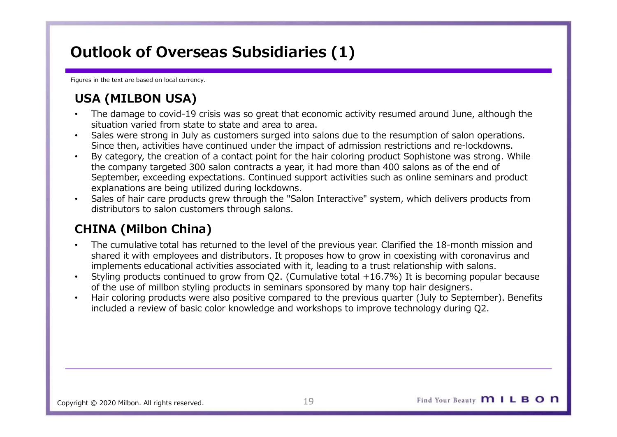# Outlook of Overseas Subsidiaries (1)

Figures in the text are based on local currency.

- **Dutlook of Overseas Subsidiaries (1)**<br>
gures in the text are based on local currency.<br>
USA (MILBON USA)<br>
The damage to covid-19 crisis was so great that economic activity resum<br>
situation varied from state to state and ar • The damage to covid-19 crisis was so great that economic activity resumed around June, although the situation varied from state to state and area to area.
- Sales were strong in July as customers surged into salons due to the resumption of salon operations. Since then, activities have continued under the impact of admission restrictions and re-lockdowns.
- **Outlook of Overseas Subsidiaries (1)**<br> **USA (MILBON USA)**<br>
 The damage to covid-19 crisis was so great that economic activity resumed around June, although the<br>
situation varied from state to state and area to area.<br>
 S the company targeted 300 salon contracts a year, it had more than 400 salons as of the end of September, exceeding expectations. Continued support activities such as online seminars and product explanations are being utilized during lockdowns. **Dutlook of Overseas Subsidiaries (1)**<br> **Surgish the text are based on local currency.**<br>
USA (MILBON USA)<br>
The damage to covid-19 crisis was so great that economic activity resume<br>
situation varied from state to state and **USA (MILBON USA)**<br>
• The damage to covid-19 crists was so great that economic activity resumed around June, although the stutation varied from state to state and area to area.<br>
• Since then, activities have continued unde
- Sales of hair care products grew through the "Salon Interactive" system, which delivers products from distributors to salon customers through salons.

- The cumulative total has returned to the level of the previous year. Clarified the 18-month mission and shared it with employees and distributors. It proposes how to grow in coexisting with coronavirus and implements educational activities associated with it, leading to a trust relationship with salons.
- Styling products continued to grow from Q2. (Cumulative total +16.7%) It is becoming popular because
- included a review of basic color knowledge and workshops to improve technology during Q2.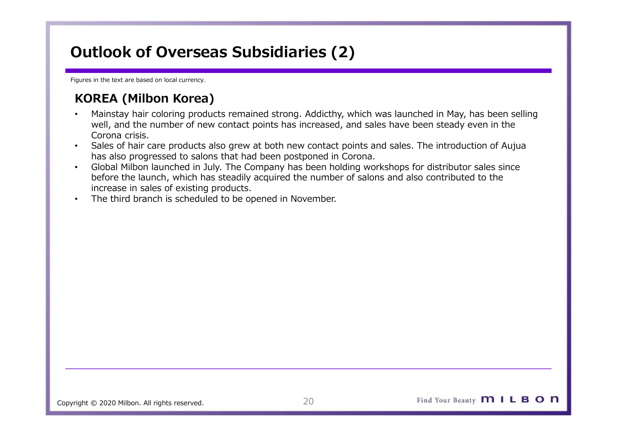# Outlook of Overseas Subsidiaries (2)

Figures in the text are based on local currency.

- **Dutlook of Overseas Subsidiaries (2)**<br>
Supers in the text are based on local currency.<br>
KOREA (Milbon Korea)<br>
Mainstay hair coloring products remained strong. Addicthy, which was laun<br>
well, and the number of new contact • Mainstay hair coloring products remained strong. Addicthy, which was launched in May, has been selling well, and the number of new contact points has increased, and sales have been steady even in the Corona crisis.
- Sales of hair care products also grew at both new contact points and sales. The introduction of Aujua has also progressed to salons that had been postponed in Corona.
- Global Milbon launched in July. The Company has been holding workshops for distributor sales since before the launch, which has steadily acquired the number of salons and also contributed to the increase in sales of existing products.
- The third branch is scheduled to be opened in November.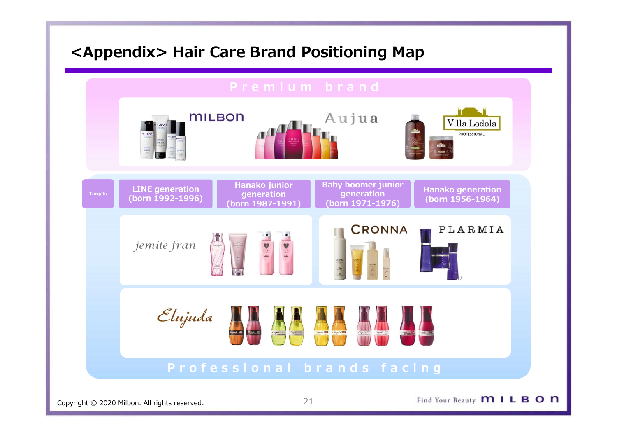# <Appendix> Hair Care Brand Positioning Map